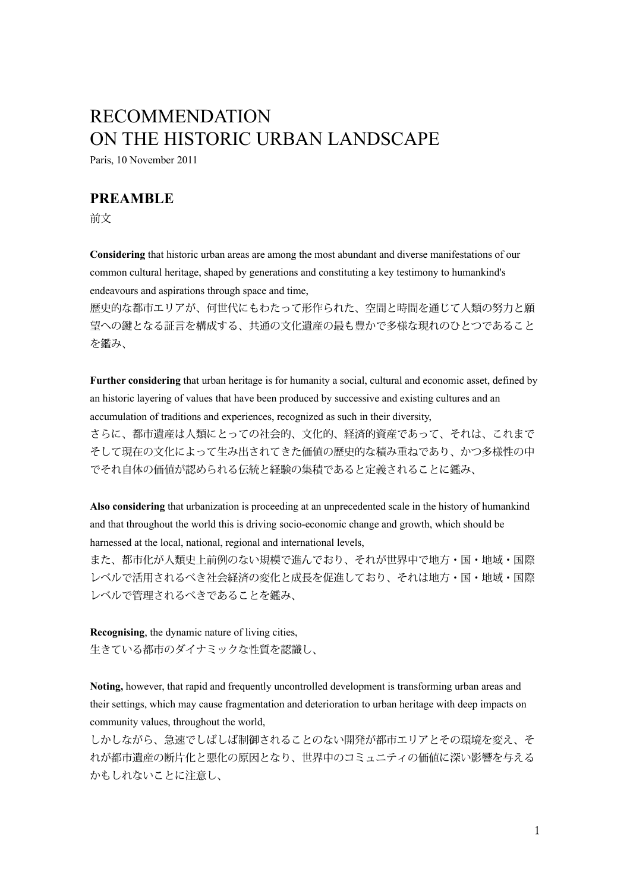# RECOMMENDATION ON THE HISTORIC URBAN LANDSCAPE

Paris, 10 November 2011

## **PREAMBLE**

前文

**Considering** that historic urban areas are among the most abundant and diverse manifestations of our common cultural heritage, shaped by generations and constituting a key testimony to humankind's endeavours and aspirations through space and time,

歴史的な都市エリアが、何世代にもわたって形作られた、空間と時間を通じて人類の努力と願 望への鍵となる証言を構成する、共通の文化遺産の最も豊かで多様な現れのひとつであること を鑑み、

**Further considering** that urban heritage is for humanity a social, cultural and economic asset, defined by an historic layering of values that have been produced by successive and existing cultures and an accumulation of traditions and experiences, recognized as such in their diversity, さらに、都市遺産は人類にとっての社会的、文化的、経済的資産であって、それは、これまで そして現在の文化によって生み出されてきた価値の歴史的な積み重ねであり、かつ多様性の中 でそれ自体の価値が認められる伝統と経験の集積であると定義されることに鑑み、

**Also considering** that urbanization is proceeding at an unprecedented scale in the history of humankind and that throughout the world this is driving socio-economic change and growth, which should be harnessed at the local, national, regional and international levels,

また、都市化が人類史上前例のない規模で進んでおり、それが世界中で地方・国・地域・国際 レベルで活用されるべき社会経済の変化と成長を促進しており、それは地方・国・地域・国際 レベルで管理されるべきであることを鑑み、

**Recognising**, the dynamic nature of living cities, 生きている都市のダイナミックな性質を認識し、

**Noting,** however, that rapid and frequently uncontrolled development is transforming urban areas and their settings, which may cause fragmentation and deterioration to urban heritage with deep impacts on community values, throughout the world,

しかしながら、急速でしばしば制御されることのない開発が都市エリアとその環境を変え、そ れが都市遺産の断片化と悪化の原因となり、世界中のコミュニティの価値に深い影響を与える かもしれないことに注意し、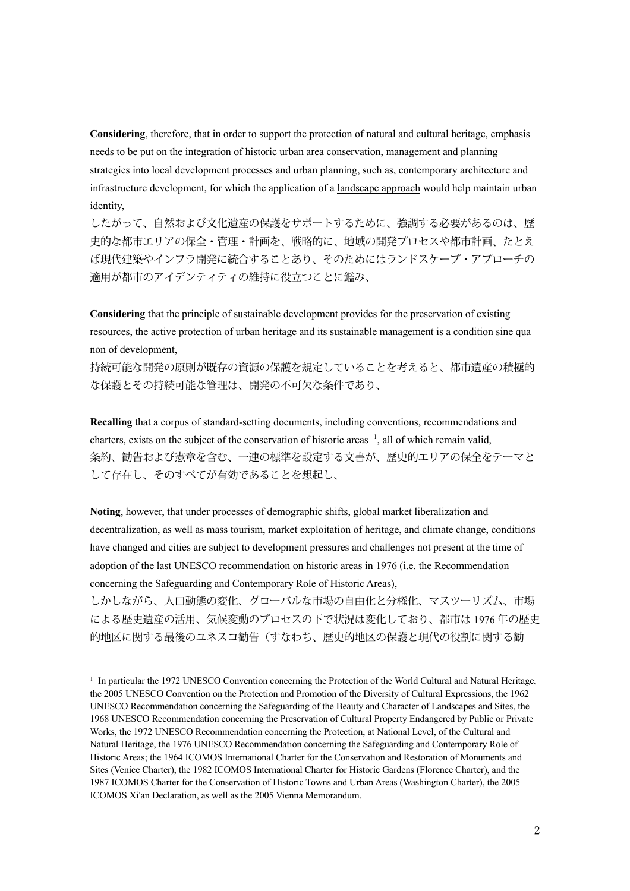**Considering**, therefore, that in order to support the protection of natural and cultural heritage, emphasis needs to be put on the integration of historic urban area conservation, management and planning strategies into local development processes and urban planning, such as, contemporary architecture and infrastructure development, for which the application of a landscape approach would help maintain urban identity,

したがって、自然および文化遺産の保護をサポートするために、強調する必要があるのは、歴 史的な都市エリアの保全・管理・計画を、戦略的に、地域の開発プロセスや都市計画、たとえ ば現代建築やインフラ開発に統合することあり、そのためにはランドスケープ・アプローチの 適用が都市のアイデンティティの維持に役立つことに鑑み、

**Considering** that the principle of sustainable development provides for the preservation of existing resources, the active protection of urban heritage and its sustainable management is a condition sine qua non of development,

持続可能な開発の原則が既存の資源の保護を規定していることを考えると、都市遺産の積極的 な保護とその持続可能な管理は、開発の不可欠な条件であり、

**Recalling** that a corpus of standard-setting documents, including conventions, recommendations and charters, exists on the subject of the conservation of historic areas  $\frac{1}{2}$ , all of which remain valid, 条約、勧告および憲章を含む、一連の標準を設定する文書が、歴史的エリアの保全をテーマと して存在し、そのすべてが有効であることを想起し、

**Noting**, however, that under processes of demographic shifts, global market liberalization and decentralization, as well as mass tourism, market exploitation of heritage, and climate change, conditions have changed and cities are subject to development pressures and challenges not present at the time of adoption of the last UNESCO recommendation on historic areas in 1976 (i.e. the Recommendation concerning the Safeguarding and Contemporary Role of Historic Areas),

しかしながら、人口動態の変化、グローバルな市場の自由化と分権化、マスツーリズム、市場 による歴史遺産の活用、気候変動のプロセスの下で状況は変化しており、都市は 1976 年の歴史 的地区に関する最後のユネスコ勧告(すなわち、歴史的地区の保護と現代の役割に関する勧

<sup>&</sup>lt;sup>1</sup> In particular the 1972 UNESCO Convention concerning the Protection of the World Cultural and Natural Heritage, the 2005 UNESCO Convention on the Protection and Promotion of the Diversity of Cultural Expressions, the 1962 UNESCO Recommendation concerning the Safeguarding of the Beauty and Character of Landscapes and Sites, the 1968 UNESCO Recommendation concerning the Preservation of Cultural Property Endangered by Public or Private Works, the 1972 UNESCO Recommendation concerning the Protection, at National Level, of the Cultural and Natural Heritage, the 1976 UNESCO Recommendation concerning the Safeguarding and Contemporary Role of Historic Areas; the 1964 ICOMOS International Charter for the Conservation and Restoration of Monuments and Sites (Venice Charter), the 1982 ICOMOS International Charter for Historic Gardens (Florence Charter), and the 1987 ICOMOS Charter for the Conservation of Historic Towns and Urban Areas (Washington Charter), the 2005 ICOMOS Xi'an Declaration, as well as the 2005 Vienna Memorandum.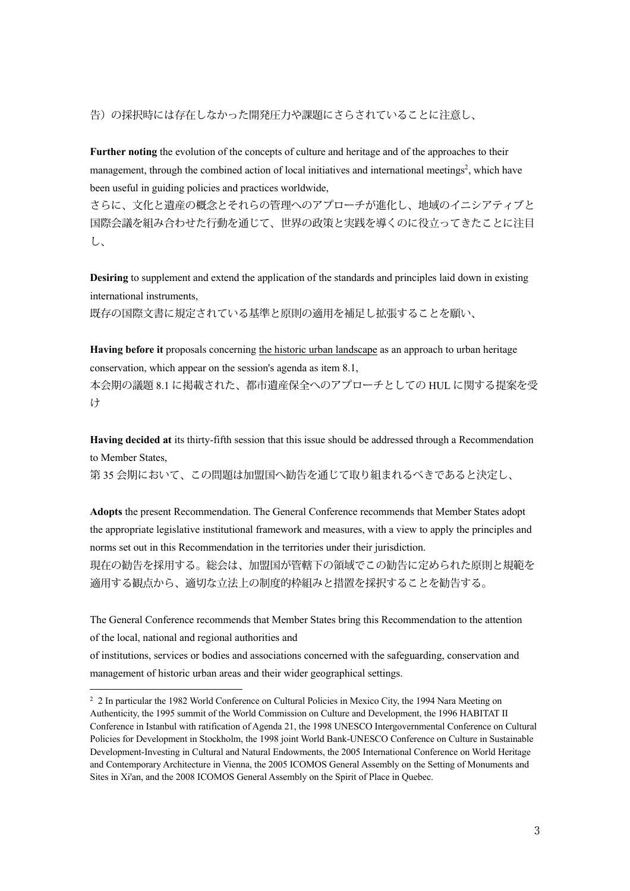告)の採択時には存在しなかった開発圧力や課題にさらされていることに注意し、

**Further noting** the evolution of the concepts of culture and heritage and of the approaches to their management, through the combined action of local initiatives and international meetings<sup>2</sup>, which have been useful in guiding policies and practices worldwide,

さらに、文化と遺産の概念とそれらの管理へのアプローチが進化し、地域のイニシアティブと 国際会議を組み合わせた行動を通じて、世界の政策と実践を導くのに役立ってきたことに注目 し、

**Desiring** to supplement and extend the application of the standards and principles laid down in existing international instruments,

既存の国際文書に規定されている基準と原則の適用を補足し拡張することを願い、

**Having before it** proposals concerning the historic urban landscape as an approach to urban heritage conservation, which appear on the session's agenda as item 8.1,

本会期の議題 8.1 に掲載された、都市遺産保全へのアプローチとしての HUL に関する提案を受 け

**Having decided at** its thirty-fifth session that this issue should be addressed through a Recommendation to Member States,

第 35 会期において、この問題は加盟国へ勧告を通じて取り組まれるべきであると決定し、

**Adopts** the present Recommendation. The General Conference recommends that Member States adopt the appropriate legislative institutional framework and measures, with a view to apply the principles and norms set out in this Recommendation in the territories under their jurisdiction. 現在の勧告を採用する。総会は、加盟国が管轄下の領域でこの勧告に定められた原則と規範を 適用する観点から、適切な立法上の制度的枠組みと措置を採択することを勧告する。

The General Conference recommends that Member States bring this Recommendation to the attention of the local, national and regional authorities and

of institutions, services or bodies and associations concerned with the safeguarding, conservation and management of historic urban areas and their wider geographical settings.

<sup>&</sup>lt;sup>2</sup> 2 In particular the 1982 World Conference on Cultural Policies in Mexico City, the 1994 Nara Meeting on Authenticity, the 1995 summit of the World Commission on Culture and Development, the 1996 HABITAT II Conference in Istanbul with ratification of Agenda 21, the 1998 UNESCO Intergovernmental Conference on Cultural Policies for Development in Stockholm, the 1998 joint World Bank-UNESCO Conference on Culture in Sustainable Development-Investing in Cultural and Natural Endowments, the 2005 International Conference on World Heritage and Contemporary Architecture in Vienna, the 2005 ICOMOS General Assembly on the Setting of Monuments and Sites in Xi'an, and the 2008 ICOMOS General Assembly on the Spirit of Place in Quebec.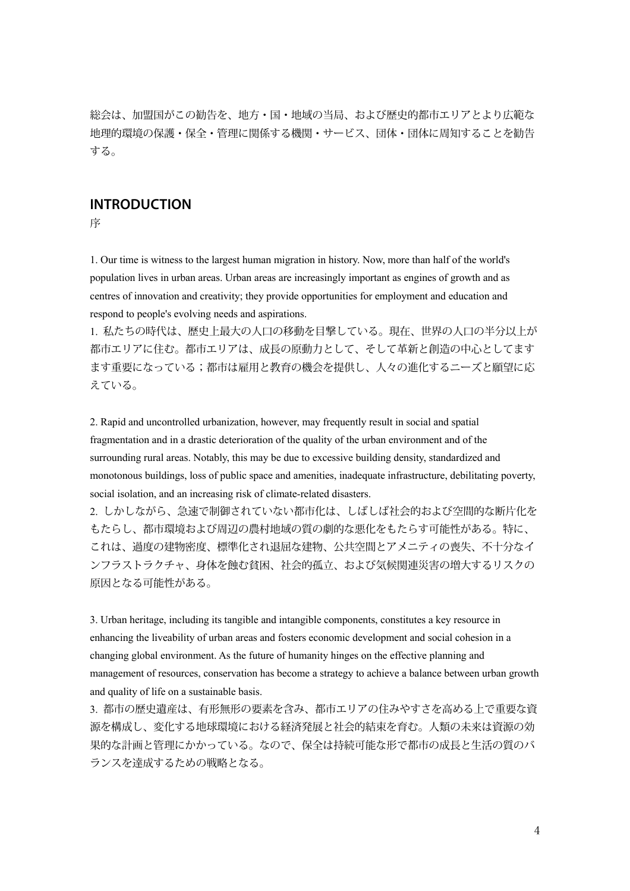総会は、加盟国がこの勧告を、地方・国・地域の当局、および歴史的都市エリアとより広範な 地理的環境の保護・保全・管理に関係する機関・サービス、団体・団体に周知することを勧告 する。

## **INTRODUCTION**

序

1. Our time is witness to the largest human migration in history. Now, more than half of the world's population lives in urban areas. Urban areas are increasingly important as engines of growth and as centres of innovation and creativity; they provide opportunities for employment and education and respond to people's evolving needs and aspirations.

1. 私たちの時代は、歴史上最大の人口の移動を目撃している。現在、世界の人口の半分以上が 都市エリアに住む。都市エリアは、成長の原動力として、そして革新と創造の中心としてます ます重要になっている;都市は雇用と教育の機会を提供し、人々の進化するニーズと願望に応 えている。

2. Rapid and uncontrolled urbanization, however, may frequently result in social and spatial fragmentation and in a drastic deterioration of the quality of the urban environment and of the surrounding rural areas. Notably, this may be due to excessive building density, standardized and monotonous buildings, loss of public space and amenities, inadequate infrastructure, debilitating poverty, social isolation, and an increasing risk of climate-related disasters.

2. しかしながら、急速で制御されていない都市化は、しばしば社会的および空間的な断片化を もたらし、都市環境および周辺の農村地域の質の劇的な悪化をもたらす可能性がある。特に、 これは、過度の建物密度、標準化され退屈な建物、公共空間とアメニティの喪失、不十分なイ ンフラストラクチャ、身体を蝕む貧困、社会的孤立、および気候関連災害の増大するリスクの 原因となる可能性がある。

3. Urban heritage, including its tangible and intangible components, constitutes a key resource in enhancing the liveability of urban areas and fosters economic development and social cohesion in a changing global environment. As the future of humanity hinges on the effective planning and management of resources, conservation has become a strategy to achieve a balance between urban growth and quality of life on a sustainable basis.

3. 都市の歴史遺産は、有形無形の要素を含み、都市エリアの住みやすさを高める上で重要な資 源を構成し、変化する地球環境における経済発展と社会的結束を育む。人類の未来は資源の効 果的な計画と管理にかかっている。なので、保全は持続可能な形で都市の成長と生活の質のバ ランスを達成するための戦略となる。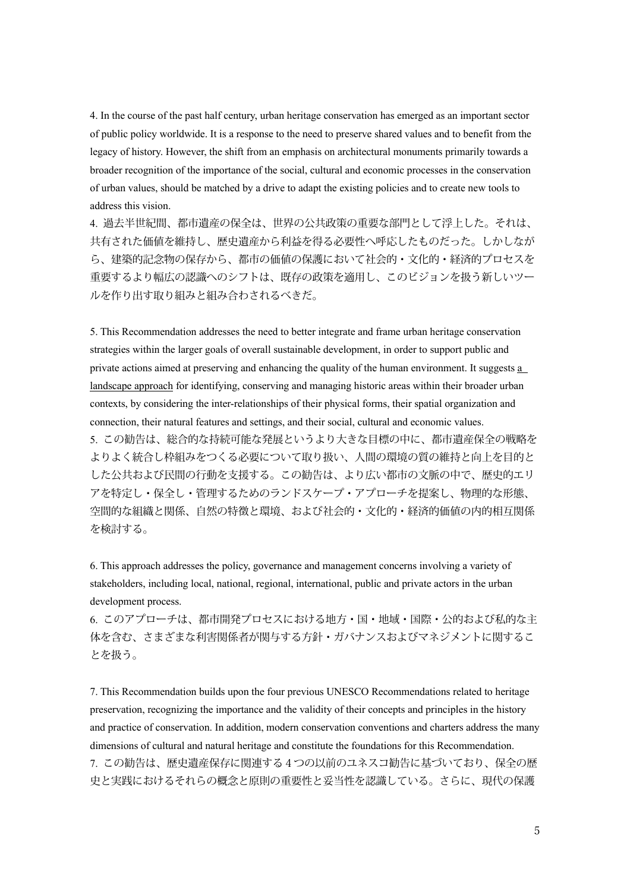4. In the course of the past half century, urban heritage conservation has emerged as an important sector of public policy worldwide. It is a response to the need to preserve shared values and to benefit from the legacy of history. However, the shift from an emphasis on architectural monuments primarily towards a broader recognition of the importance of the social, cultural and economic processes in the conservation of urban values, should be matched by a drive to adapt the existing policies and to create new tools to address this vision.

4. 過去半世紀間、都市遺産の保全は、世界の公共政策の重要な部門として浮上した。それは、 共有された価値を維持し、歴史遺産から利益を得る必要性へ呼応したものだった。しかしなが ら、建築的記念物の保存から、都市の価値の保護において社会的・文化的・経済的プロセスを 重要するより幅広の認識へのシフトは、既存の政策を適用し、このビジョンを扱う新しいツー ルを作り出す取り組みと組み合わされるべきだ。

5. This Recommendation addresses the need to better integrate and frame urban heritage conservation strategies within the larger goals of overall sustainable development, in order to support public and private actions aimed at preserving and enhancing the quality of the human environment. It suggests a landscape approach for identifying, conserving and managing historic areas within their broader urban contexts, by considering the inter-relationships of their physical forms, their spatial organization and connection, their natural features and settings, and their social, cultural and economic values. 5. この勧告は、総合的な持続可能な発展というより大きな目標の中に、都市遺産保全の戦略を よりよく統合し枠組みをつくる必要について取り扱い、人間の環境の質の維持と向上を目的と した公共および民間の行動を支援する。この勧告は、より広い都市の文脈の中で、歴史的エリ アを特定し・保全し・管理するためのランドスケープ・アプローチを提案し、物理的な形態、 空間的な組織と関係、自然の特徴と環境、および社会的・文化的・経済的価値の内的相互関係 を検討する。

6. This approach addresses the policy, governance and management concerns involving a variety of stakeholders, including local, national, regional, international, public and private actors in the urban development process.

6. このアプローチは、都市開発プロセスにおける地方・国・地域・国際・公的および私的な主 体を含む、さまざまな利害関係者が関与する方針・ガバナンスおよびマネジメントに関するこ とを扱う。

7. This Recommendation builds upon the four previous UNESCO Recommendations related to heritage preservation, recognizing the importance and the validity of their concepts and principles in the history and practice of conservation. In addition, modern conservation conventions and charters address the many dimensions of cultural and natural heritage and constitute the foundations for this Recommendation. 7. この勧告は、歴史遺産保存に関連する4つの以前のユネスコ勧告に基づいており、保全の歴 史と実践におけるそれらの概念と原則の重要性と妥当性を認識している。さらに、現代の保護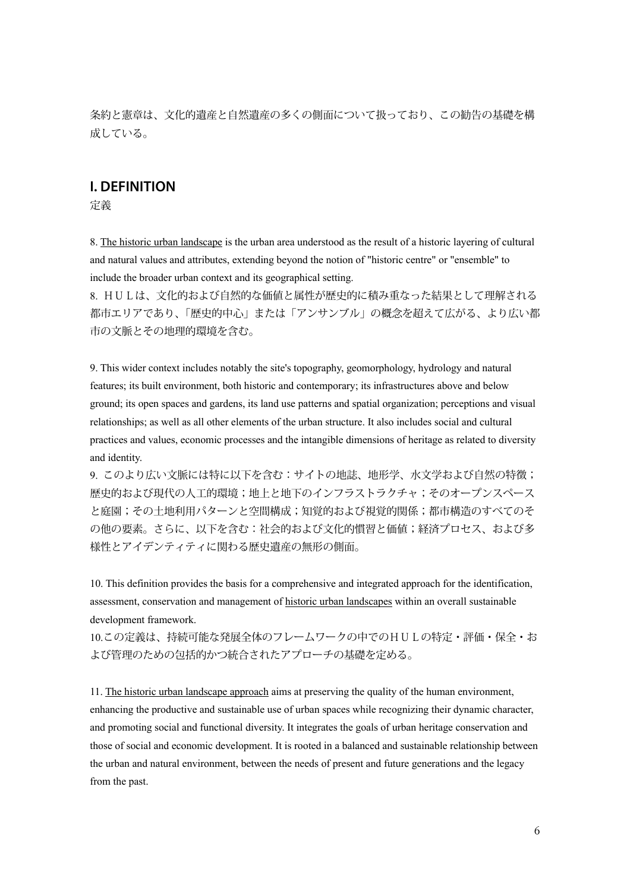条約と憲章は、文化的遺産と自然遺産の多くの側面について扱っており、この勧告の基礎を構 成している。

### **I. DEFINITION**

定義

8. The historic urban landscape is the urban area understood as the result of a historic layering of cultural and natural values and attributes, extending beyond the notion of "historic centre" or "ensemble" to include the broader urban context and its geographical setting.

8. HULは、文化的および自然的な価値と属性が歴史的に積み重なった結果として理解される 都市エリアであり、「歴史的中心」または「アンサンブル」の概念を超えて広がる、より広い都 市の文脈とその地理的環境を含む。

9. This wider context includes notably the site's topography, geomorphology, hydrology and natural features; its built environment, both historic and contemporary; its infrastructures above and below ground; its open spaces and gardens, its land use patterns and spatial organization; perceptions and visual relationships; as well as all other elements of the urban structure. It also includes social and cultural practices and values, economic processes and the intangible dimensions of heritage as related to diversity and identity.

9. このより広い文脈には特に以下を含む:サイトの地誌、地形学、水文学および自然の特徴; 歴史的および現代の人工的環境;地上と地下のインフラストラクチャ;そのオープンスペース と庭園;その土地利用パターンと空間構成;知覚的および視覚的関係;都市構造のすべてのそ の他の要素。さらに、以下を含む:社会的および文化的慣習と価値;経済プロセス、および多 様性とアイデンティティに関わる歴史遺産の無形の側面。

10. This definition provides the basis for a comprehensive and integrated approach for the identification, assessment, conservation and management of historic urban landscapes within an overall sustainable development framework.

10.この定義は、持続可能な発展全体のフレームワークの中でのHULの特定・評価・保全・お よび管理のための包括的かつ統合されたアプローチの基礎を定める。

11. The historic urban landscape approach aims at preserving the quality of the human environment, enhancing the productive and sustainable use of urban spaces while recognizing their dynamic character, and promoting social and functional diversity. It integrates the goals of urban heritage conservation and those of social and economic development. It is rooted in a balanced and sustainable relationship between the urban and natural environment, between the needs of present and future generations and the legacy from the past.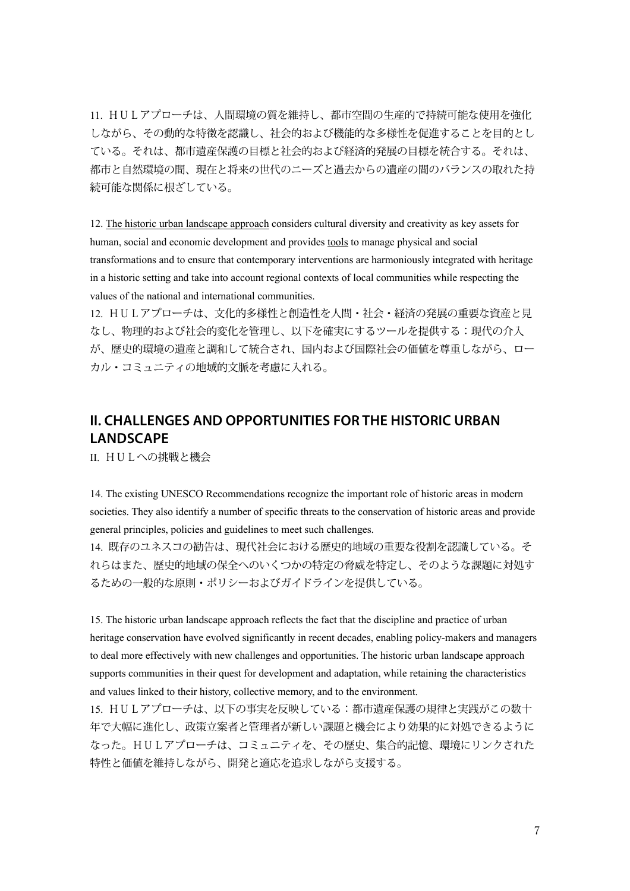11. HULアプローチは、人間環境の質を維持し、都市空間の生産的で持続可能な使用を強化 しながら、その動的な特徴を認識し、社会的および機能的な多様性を促進することを目的とし ている。それは、都市遺産保護の目標と社会的および経済的発展の目標を統合する。それは、 都市と自然環境の間、現在と将来の世代のニーズと過去からの遺産の間のバランスの取れた持 続可能な関係に根ざしている。

12. The historic urban landscape approach considers cultural diversity and creativity as key assets for human, social and economic development and provides tools to manage physical and social transformations and to ensure that contemporary interventions are harmoniously integrated with heritage in a historic setting and take into account regional contexts of local communities while respecting the values of the national and international communities.

12. HULアプローチは、文化的多様性と創造性を人間・社会・経済の発展の重要な資産と見 なし、物理的および社会的変化を管理し、以下を確実にするツールを提供する:現代の介入 が、歴史的環境の遺産と調和して統合され、国内および国際社会の価値を尊重しながら、ロー カル・コミュニティの地域的文脈を考慮に入れる。

## **II. CHALLENGES AND OPPORTUNITIES FOR THE HISTORIC URBAN LANDSCAPE**

II. HULへの挑戦と機会

14. The existing UNESCO Recommendations recognize the important role of historic areas in modern societies. They also identify a number of specific threats to the conservation of historic areas and provide general principles, policies and guidelines to meet such challenges.

14. 既存のユネスコの勧告は、現代社会における歴史的地域の重要な役割を認識している。そ れらはまた、歴史的地域の保全へのいくつかの特定の脅威を特定し、そのような課題に対処す るための一般的な原則・ポリシーおよびガイドラインを提供している。

15. The historic urban landscape approach reflects the fact that the discipline and practice of urban heritage conservation have evolved significantly in recent decades, enabling policy-makers and managers to deal more effectively with new challenges and opportunities. The historic urban landscape approach supports communities in their quest for development and adaptation, while retaining the characteristics and values linked to their history, collective memory, and to the environment.

15. HULアプローチは、以下の事実を反映している:都市遺産保護の規律と実践がこの数十 年で大幅に進化し、政策立案者と管理者が新しい課題と機会により効果的に対処できるように なった。HULアプローチは、コミュニティを、その歴史、集合的記憶、環境にリンクされた 特性と価値を維持しながら、開発と適応を追求しながら支援する。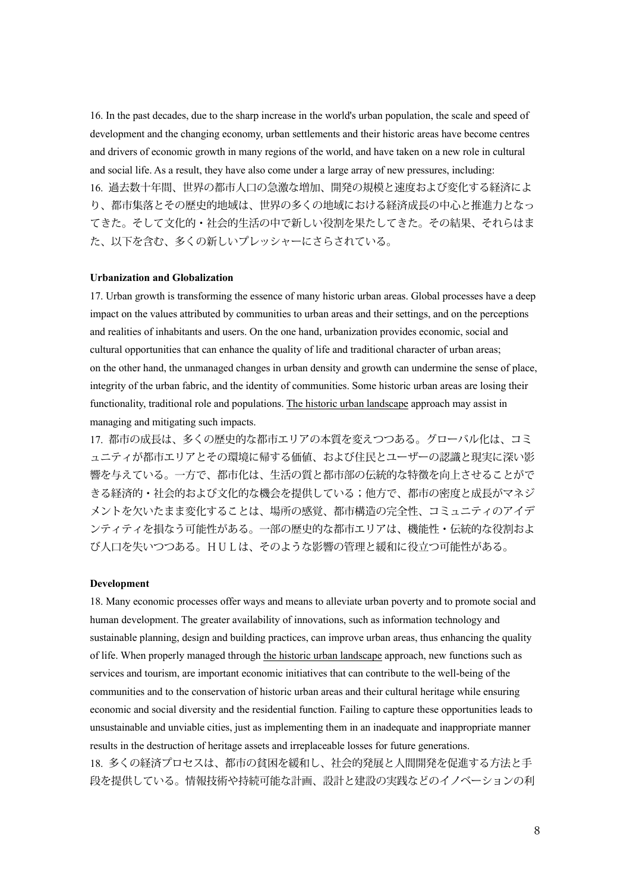16. In the past decades, due to the sharp increase in the world's urban population, the scale and speed of development and the changing economy, urban settlements and their historic areas have become centres and drivers of economic growth in many regions of the world, and have taken on a new role in cultural and social life. As a result, they have also come under a large array of new pressures, including: 16. 過去数十年間、世界の都市人口の急激な増加、開発の規模と速度および変化する経済によ り、都市集落とその歴史的地域は、世界の多くの地域における経済成長の中心と推進力となっ てきた。そして文化的・社会的生活の中で新しい役割を果たしてきた。その結果、それらはま た、以下を含む、多くの新しいプレッシャーにさらされている。

#### **Urbanization and Globalization**

17. Urban growth is transforming the essence of many historic urban areas. Global processes have a deep impact on the values attributed by communities to urban areas and their settings, and on the perceptions and realities of inhabitants and users. On the one hand, urbanization provides economic, social and cultural opportunities that can enhance the quality of life and traditional character of urban areas; on the other hand, the unmanaged changes in urban density and growth can undermine the sense of place, integrity of the urban fabric, and the identity of communities. Some historic urban areas are losing their functionality, traditional role and populations. The historic urban landscape approach may assist in managing and mitigating such impacts.

17. 都市の成長は、多くの歴史的な都市エリアの本質を変えつつある。グローバル化は、コミ ュニティが都市エリアとその環境に帰する価値、および住民とユーザーの認識と現実に深い影 響を与えている。一方で、都市化は、生活の質と都市部の伝統的な特徴を向上させることがで きる経済的・社会的および文化的な機会を提供している;他方で、都市の密度と成長がマネジ メントを欠いたまま変化することは、場所の感覚、都市構造の完全性、コミュニティのアイデ ンティティを損なう可能性がある。一部の歴史的な都市エリアは、機能性・伝統的な役割およ び人口を失いつつある。HULは、そのような影響の管理と緩和に役立つ可能性がある。

#### **Development**

18. Many economic processes offer ways and means to alleviate urban poverty and to promote social and human development. The greater availability of innovations, such as information technology and sustainable planning, design and building practices, can improve urban areas, thus enhancing the quality of life. When properly managed through the historic urban landscape approach, new functions such as services and tourism, are important economic initiatives that can contribute to the well-being of the communities and to the conservation of historic urban areas and their cultural heritage while ensuring economic and social diversity and the residential function. Failing to capture these opportunities leads to unsustainable and unviable cities, just as implementing them in an inadequate and inappropriate manner results in the destruction of heritage assets and irreplaceable losses for future generations. 18. 多くの経済プロセスは、都市の貧困を緩和し、社会的発展と人間開発を促進する方法と手 段を提供している。情報技術や持続可能な計画、設計と建設の実践などのイノベーションの利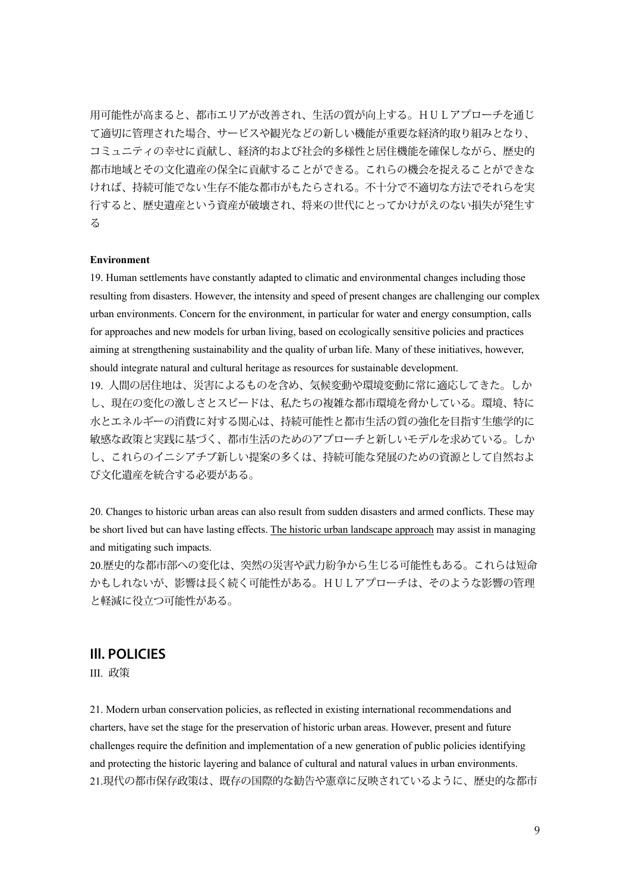用可能性が高まると、都市エリアが改善され、生活の質が向上する。HULアプローチを通じ て適切に管理された場合、サービスや観光などの新しい機能が重要な経済的取り組みとなり、 コミュニティの幸せに貢献し、経済的および社会的多様性と居住機能を確保しながら、歴史的 都市地域とその文化遺産の保全に貢献することができる。これらの機会を捉えることができな ければ、持続可能でない生存不能な都市がもたらされる。不十分で不適切な方法でそれらを実 行すると、歴史遺産という資産が破壊され、将来の世代にとってかけがえのない損失が発生す る

#### **Environment**

19. Human settlements have constantly adapted to climatic and environmental changes including those resulting from disasters. However, the intensity and speed of present changes are challenging our complex urban environments. Concern for the environment, in particular for water and energy consumption, calls for approaches and new models for urban living, based on ecologically sensitive policies and practices aiming at strengthening sustainability and the quality of urban life. Many of these initiatives, however, should integrate natural and cultural heritage as resources for sustainable development.

19. 人間の居住地は、災害によるものを含め、気候変動や環境変動に常に適応してきた。しか し、現在の変化の激しさとスピードは、私たちの複雑な都市環境を脅かしている。環境、特に 水とエネルギーの消費に対する関心は、持続可能性と都市生活の質の強化を目指す生態学的に 敏感な政策と実践に基づく、都市生活のためのアプローチと新しいモデルを求めている。しか し、これらのイニシアチブ新しい提案の多くは、持続可能な発展のための資源として自然およ び文化遺産を統合する必要がある。

20. Changes to historic urban areas can also result from sudden disasters and armed conflicts. These may be short lived but can have lasting effects. The historic urban landscape approach may assist in managing and mitigating such impacts.

20.歴史的な都市部への変化は、突然の災害や武力紛争から生じる可能性もある。これらは短命 かもしれないが、影響は長く続く可能性がある。HULアプローチは、そのような影響の管理 と軽減に役立つ可能性がある。

## **Ill. POLICIES**

III. 政策

21. Modern urban conservation policies, as reflected in existing international recommendations and charters, have set the stage for the preservation of historic urban areas. However, present and future challenges require the definition and implementation of a new generation of public policies identifying and protecting the historic layering and balance of cultural and natural values in urban environments. 21.現代の都市保存政策は、既存の国際的な勧告や憲章に反映されているように、歴史的な都市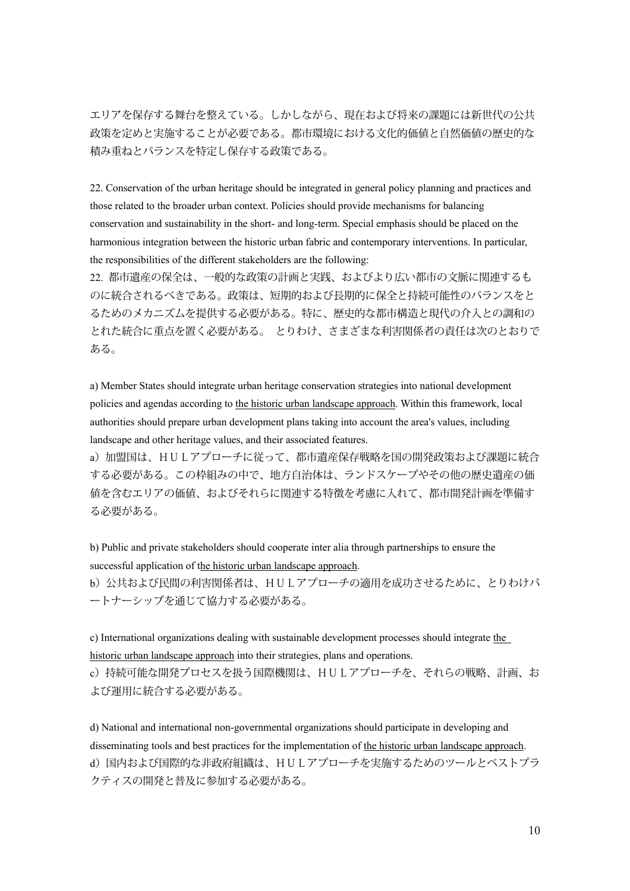エリアを保存する舞台を整えている。しかしながら、現在および将来の課題には新世代の公共 政策を定めと実施することが必要である。都市環境における文化的価値と自然価値の歴史的な 積み重ねとバランスを特定し保存する政策である。

22. Conservation of the urban heritage should be integrated in general policy planning and practices and those related to the broader urban context. Policies should provide mechanisms for balancing conservation and sustainability in the short- and long-term. Special emphasis should be placed on the harmonious integration between the historic urban fabric and contemporary interventions. In particular, the responsibilities of the different stakeholders are the following:

22. 都市遺産の保全は、一般的な政策の計画と実践、およびより広い都市の文脈に関連するも のに統合されるべきである。政策は、短期的および長期的に保全と持続可能性のバランスをと るためのメカニズムを提供する必要がある。特に、歴史的な都市構造と現代の介入との調和の とれた統合に重点を置く必要がある。 とりわけ、さまざまな利害関係者の責任は次のとおりで ある。

a) Member States should integrate urban heritage conservation strategies into national development policies and agendas according to the historic urban landscape approach. Within this framework, local authorities should prepare urban development plans taking into account the area's values, including landscape and other heritage values, and their associated features.

a)加盟国は、HULアプローチに従って、都市遺産保存戦略を国の開発政策および課題に統合 する必要がある。この枠組みの中で、地方自治体は、ランドスケープやその他の歴史遺産の価 値を含むエリアの価値、およびそれらに関連する特徴を考慮に入れて、都市開発計画を準備す る必要がある。

b) Public and private stakeholders should cooperate inter alia through partnerships to ensure the successful application of the historic urban landscape approach.

b)公共および民間の利害関係者は、HULアプローチの適用を成功させるために、とりわけパ ートナーシップを通じて協力する必要がある。

c) International organizations dealing with sustainable development processes should integrate the historic urban landscape approach into their strategies, plans and operations.

c)持続可能な開発プロセスを扱う国際機関は、HULアプローチを、それらの戦略、計画、お よび運用に統合する必要がある。

d) National and international non-governmental organizations should participate in developing and disseminating tools and best practices for the implementation of the historic urban landscape approach. d) 国内および国際的な非政府組織は、HULアプローチを実施するためのツールとベストプラ クティスの開発と普及に参加する必要がある。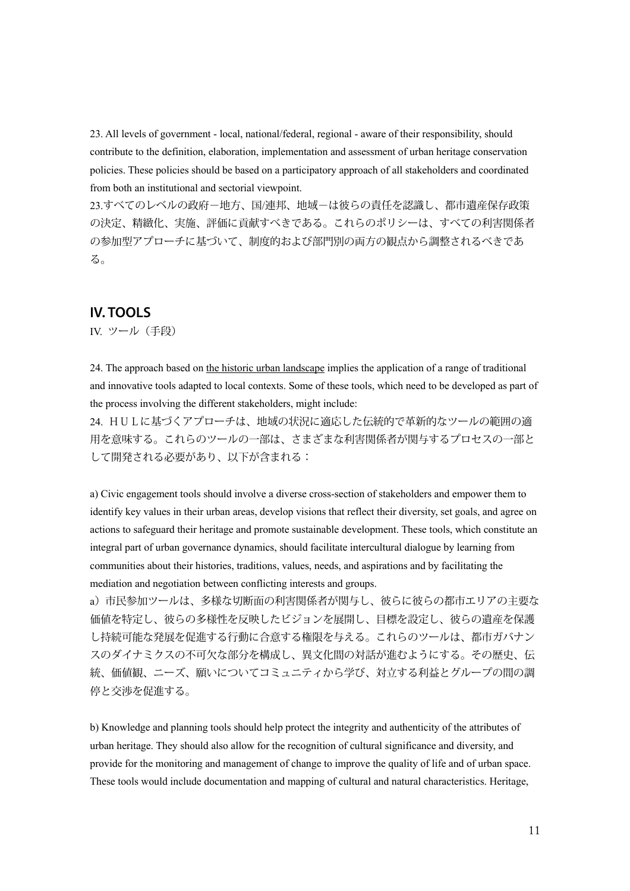23. All levels of government - local, national/federal, regional - aware of their responsibility, should contribute to the definition, elaboration, implementation and assessment of urban heritage conservation policies. These policies should be based on a participatory approach of all stakeholders and coordinated from both an institutional and sectorial viewpoint.

23.すべてのレベルの政府-地方、国/連邦、地域-は彼らの責任を認識し、都市遺産保存政策 の決定、精緻化、実施、評価に貢献すべきである。これらのポリシーは、すべての利害関係者 の参加型アプローチに基づいて、制度的および部門別の両方の観点から調整されるべきであ る。

### **IV. TOOLS**

IV. ツール(手段)

24. The approach based on the historic urban landscape implies the application of a range of traditional and innovative tools adapted to local contexts. Some of these tools, which need to be developed as part of the process involving the different stakeholders, might include:

24. HULに基づくアプローチは、地域の状況に適応した伝統的で革新的なツールの範囲の適 用を意味する。これらのツールの一部は、さまざまな利害関係者が関与するプロセスの一部と して開発される必要があり、以下が含まれる:

a) Civic engagement tools should involve a diverse cross-section of stakeholders and empower them to identify key values in their urban areas, develop visions that reflect their diversity, set goals, and agree on actions to safeguard their heritage and promote sustainable development. These tools, which constitute an integral part of urban governance dynamics, should facilitate intercultural dialogue by learning from communities about their histories, traditions, values, needs, and aspirations and by facilitating the mediation and negotiation between conflicting interests and groups.

a)市民参加ツールは、多様な切断面の利害関係者が関与し、彼らに彼らの都市エリアの主要な 価値を特定し、彼らの多様性を反映したビジョンを展開し、目標を設定し、彼らの遺産を保護 し持続可能な発展を促進する行動に合意する権限を与える。これらのツールは、都市ガバナン スのダイナミクスの不可欠な部分を構成し、異文化間の対話が進むようにする。その歴史、伝 統、価値観、ニーズ、願いについてコミュニティから学び、対立する利益とグループの間の調 停と交渉を促進する。

b) Knowledge and planning tools should help protect the integrity and authenticity of the attributes of urban heritage. They should also allow for the recognition of cultural significance and diversity, and provide for the monitoring and management of change to improve the quality of life and of urban space. These tools would include documentation and mapping of cultural and natural characteristics. Heritage,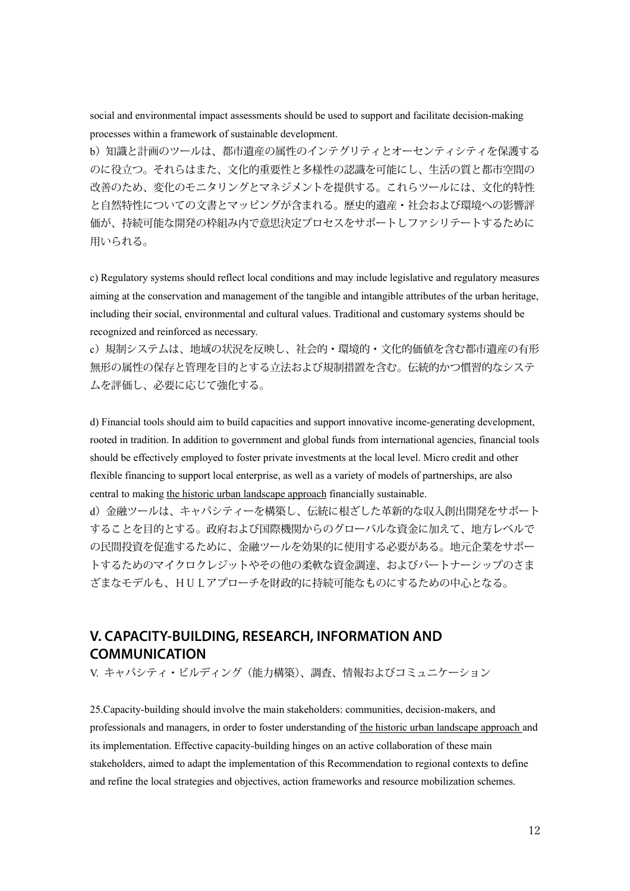social and environmental impact assessments should be used to support and facilitate decision-making processes within a framework of sustainable development.

b)知識と計画のツールは、都市遺産の属性のインテグリティとオーセンティシティを保護する のに役立つ。それらはまた、文化的重要性と多様性の認識を可能にし、生活の質と都市空間の 改善のため、変化のモニタリングとマネジメントを提供する。これらツールには、文化的特性 と自然特性についての文書とマッピングが含まれる。歴史的遺産・社会および環境への影響評 価が、持続可能な開発の枠組み内で意思決定プロセスをサポートしファシリテートするために 用いられる。

c) Regulatory systems should reflect local conditions and may include legislative and regulatory measures aiming at the conservation and management of the tangible and intangible attributes of the urban heritage, including their social, environmental and cultural values. Traditional and customary systems should be recognized and reinforced as necessary.

c)規制システムは、地域の状況を反映し、社会的・環境的・文化的価値を含む都市遺産の有形 無形の属性の保存と管理を目的とする立法および規制措置を含む。伝統的かつ慣習的なシステ ムを評価し、必要に応じて強化する。

d) Financial tools should aim to build capacities and support innovative income-generating development, rooted in tradition. In addition to government and global funds from international agencies, financial tools should be effectively employed to foster private investments at the local level. Micro credit and other flexible financing to support local enterprise, as well as a variety of models of partnerships, are also central to making the historic urban landscape approach financially sustainable.

d)金融ツールは、キャパシティーを構築し、伝統に根ざした革新的な収入創出開発をサポート することを目的とする。政府および国際機関からのグローバルな資金に加えて、地方レベルで の民間投資を促進するために、金融ツールを効果的に使用する必要がある。地元企業をサポー トするためのマイクロクレジットやその他の柔軟な資金調達、およびパートナーシップのさま ざまなモデルも、HULアプローチを財政的に持続可能なものにするための中心となる。

## **V. CAPACITY-BUILDING, RESEARCH, INFORMATION AND COMMUNICATION**

V. キャパシティ・ビルディング(能力構築)、調査、情報およびコミュニケーション

25.Capacity-building should involve the main stakeholders: communities, decision-makers, and professionals and managers, in order to foster understanding of the historic urban landscape approach and its implementation. Effective capacity-building hinges on an active collaboration of these main stakeholders, aimed to adapt the implementation of this Recommendation to regional contexts to define and refine the local strategies and objectives, action frameworks and resource mobilization schemes.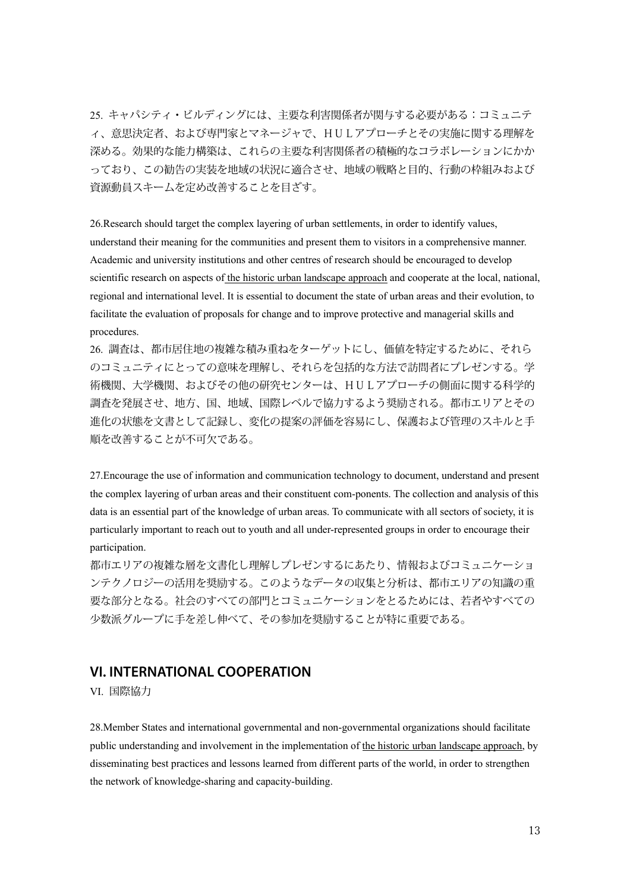25. キャパシティ・ビルディングには、主要な利害関係者が関与する必要がある:コミュニテ ィ、意思決定者、および専門家とマネージャで、HULアプローチとその実施に関する理解を 深める。効果的な能力構築は、これらの主要な利害関係者の積極的なコラボレーションにかか っており、この勧告の実装を地域の状況に適合させ、地域の戦略と目的、行動の枠組みおよび 資源動員スキームを定め改善することを目ざす。

26.Research should target the complex layering of urban settlements, in order to identify values, understand their meaning for the communities and present them to visitors in a comprehensive manner. Academic and university institutions and other centres of research should be encouraged to develop scientific research on aspects of the historic urban landscape approach and cooperate at the local, national, regional and international level. It is essential to document the state of urban areas and their evolution, to facilitate the evaluation of proposals for change and to improve protective and managerial skills and procedures.

26. 調査は、都市居住地の複雑な積み重ねをターゲットにし、価値を特定するために、それら のコミュニティにとっての意味を理解し、それらを包括的な方法で訪問者にプレゼンする。学 術機関、大学機関、およびその他の研究センターは、HULアプローチの側面に関する科学的 調査を発展させ、地方、国、地域、国際レベルで協力するよう奨励される。都市エリアとその 進化の状態を文書として記録し、変化の提案の評価を容易にし、保護および管理のスキルと手 順を改善することが不可欠である。

27.Encourage the use of information and communication technology to document, understand and present the complex layering of urban areas and their constituent com-ponents. The collection and analysis of this data is an essential part of the knowledge of urban areas. To communicate with all sectors of society, it is particularly important to reach out to youth and all under-represented groups in order to encourage their participation.

都市エリアの複雑な層を文書化し理解しプレゼンするにあたり、情報およびコミュニケーショ ンテクノロジーの活用を奨励する。このようなデータの収集と分析は、都市エリアの知識の重 要な部分となる。社会のすべての部門とコミュニケーションをとるためには、若者やすべての 少数派グループに手を差し伸べて、その参加を奨励することが特に重要である。

## **VI. INTERNATIONAL COOPERATION**

VI. 国際協力

28.Member States and international governmental and non-governmental organizations should facilitate public understanding and involvement in the implementation of the historic urban landscape approach, by disseminating best practices and lessons learned from different parts of the world, in order to strengthen the network of knowledge-sharing and capacity-building.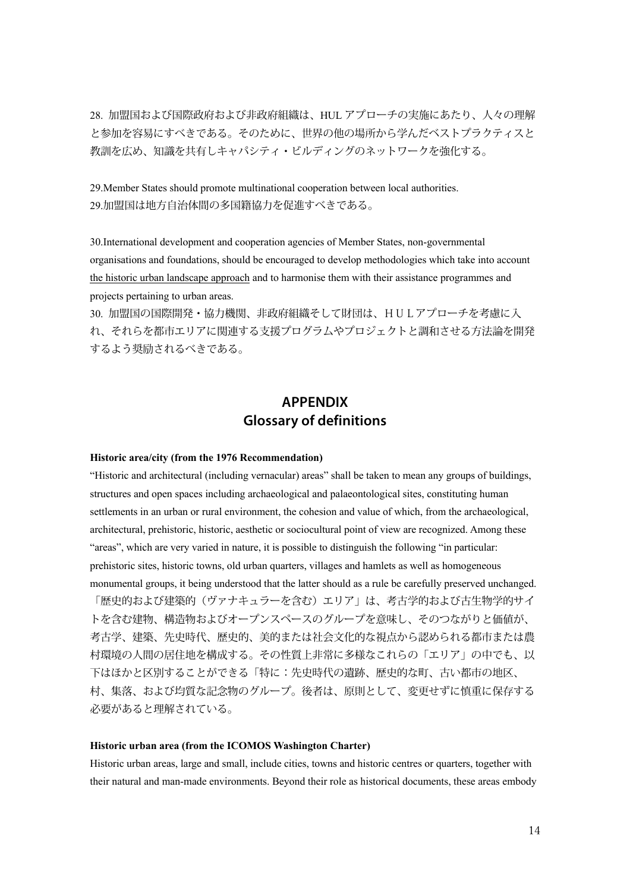28. 加盟国および国際政府および非政府組織は、HUL アプローチの実施にあたり、人々の理解 と参加を容易にすべきである。そのために、世界の他の場所から学んだベストプラクティスと 教訓を広め、知識を共有しキャパシティ・ビルディングのネットワークを強化する。

29.Member States should promote multinational cooperation between local authorities. 29.加盟国は地方自治体間の多国籍協力を促進すべきである。

30.International development and cooperation agencies of Member States, non-governmental organisations and foundations, should be encouraged to develop methodologies which take into account the historic urban landscape approach and to harmonise them with their assistance programmes and projects pertaining to urban areas.

30. 加盟国の国際開発・協力機関、非政府組織そして財団は、HULアプローチを考慮に入 れ、それらを都市エリアに関連する支援プログラムやプロジェクトと調和させる方法論を開発 するよう奨励されるべきである。

## **APPENDIX Glossary of definitions**

#### **Historic area/city (from the 1976 Recommendation)**

"Historic and architectural (including vernacular) areas" shall be taken to mean any groups of buildings, structures and open spaces including archaeological and palaeontological sites, constituting human settlements in an urban or rural environment, the cohesion and value of which, from the archaeological, architectural, prehistoric, historic, aesthetic or sociocultural point of view are recognized. Among these "areas", which are very varied in nature, it is possible to distinguish the following "in particular: prehistoric sites, historic towns, old urban quarters, villages and hamlets as well as homogeneous monumental groups, it being understood that the latter should as a rule be carefully preserved unchanged. 「歴史的および建築的(ヴァナキュラーを含む)エリア」は、考古学的および古生物学的サイ トを含む建物、構造物およびオープンスペースのグループを意味し、そのつながりと価値が、 考古学、建築、先史時代、歴史的、美的または社会文化的な視点から認められる都市または農 村環境の人間の居住地を構成する。その性質上非常に多様なこれらの「エリア」の中でも、以 下はほかと区別することができる「特に:先史時代の遺跡、歴史的な町、古い都市の地区、 村、集落、および均質な記念物のグループ。後者は、原則として、変更せずに慎重に保存する 必要があると理解されている。

#### **Historic urban area (from the ICOMOS Washington Charter)**

Historic urban areas, large and small, include cities, towns and historic centres or quarters, together with their natural and man-made environments. Beyond their role as historical documents, these areas embody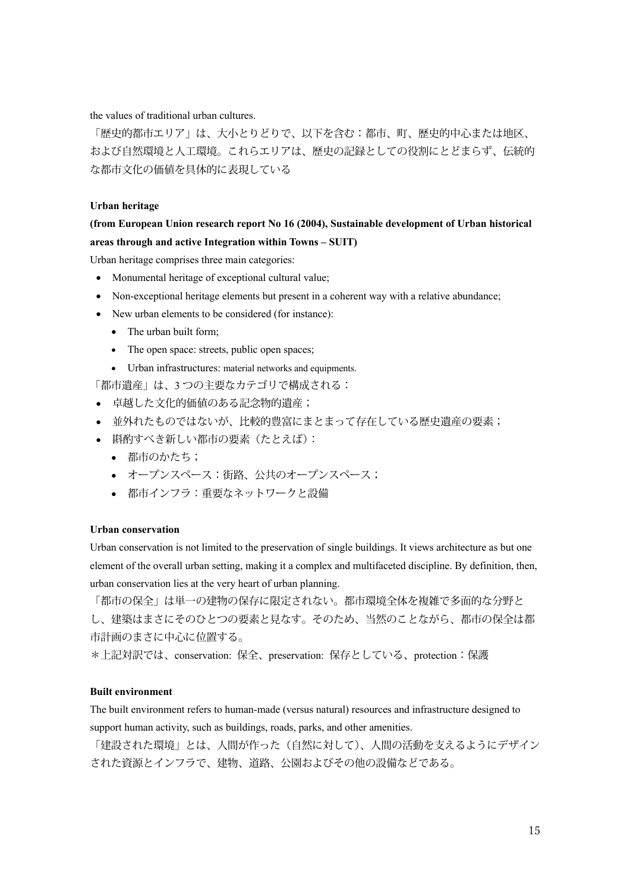the values of traditional urban cultures.

「歴史的都市エリア」は、大小とりどりで、以下を含む:都市、町、歴史的中心または地区、 および自然環境と人工環境。これらエリアは、歴史の記録としての役割にとどまらず、伝統的 な都市文化の価値を具体的に表現している

#### **Urban heritage**

### **(from European Union research report No 16 (2004), Sustainable development of Urban historical areas through and active Integration within Towns – SUIT)**

Urban heritage comprises three main categories:

- Monumental heritage of exceptional cultural value;
- Non-exceptional heritage elements but present in a coherent way with a relative abundance;
- New urban elements to be considered (for instance):
	- The urban built form:
	- The open space: streets, public open spaces;
	- Urban infrastructures: material networks and equipments.

「都市遺産」は、3 つの主要なカテゴリで構成される:

- 卓越した文化的価値のある記念物的遺産;
- 並外れたものではないが、比較的豊富にまとまって存在している歴史遺産の要素;
- 斟酌すべき新しい都市の要素(たとえば):
	- 都市のかたち;
	- オープンスペース:街路、公共のオープンスペース;
	- 都市インフラ:重要なネットワークと設備

#### **Urban conservation**

Urban conservation is not limited to the preservation of single buildings. It views architecture as but one element of the overall urban setting, making it a complex and multifaceted discipline. By definition, then, urban conservation lies at the very heart of urban planning.

「都市の保全」は単一の建物の保存に限定されない。都市環境全体を複雑で多面的な分野と し、建築はまさにそのひとつの要素と見なす。そのため、当然のことながら、都市の保全は都 市計画のまさに中心に位置する。

\*上記対訳では、conservation: 保全、preservation: 保存としている、protection:保護

#### **Built environment**

The built environment refers to human-made (versus natural) resources and infrastructure designed to support human activity, such as buildings, roads, parks, and other amenities.

「建設された環境」とは、人間が作った(自然に対して)、人間の活動を支えるようにデザイン された資源とインフラで、建物、道路、公園およびその他の設備などである。